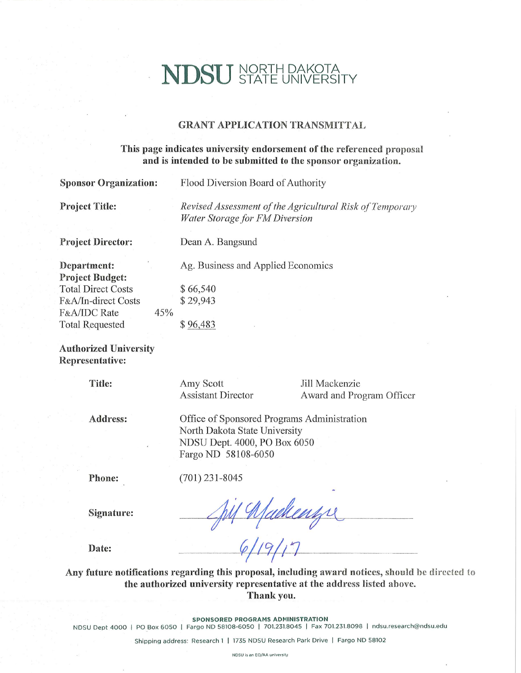# **NDSU** NORTH DAKOTA

 $\ddot{\phantom{a}}$ 

### **GRANT APPLICATION TRANSMITTAL**

### This page indicates university endorsement of the referenced proposal and is intended to be submitted to the sponsor organization.

| <b>Sponsor Organization:</b>                                                                                                               | Flood Diversion Board of Authority                                                                                                  |  |  |  |  |
|--------------------------------------------------------------------------------------------------------------------------------------------|-------------------------------------------------------------------------------------------------------------------------------------|--|--|--|--|
| <b>Project Title:</b>                                                                                                                      | Revised Assessment of the Agricultural Risk of Temporary<br>Water Storage for FM Diversion                                          |  |  |  |  |
| <b>Project Director:</b>                                                                                                                   | Dean A. Bangsund                                                                                                                    |  |  |  |  |
| Department:<br><b>Project Budget:</b><br><b>Total Direct Costs</b><br>F&A/In-direct Costs<br>F&A/IDC Rate<br>45%<br><b>Total Requested</b> | Ag. Business and Applied Economics<br>\$66,540<br>\$29,943<br>\$96,483                                                              |  |  |  |  |
| <b>Authorized University</b><br>Representative:                                                                                            |                                                                                                                                     |  |  |  |  |
| Title:                                                                                                                                     | Jill Mackenzie<br>Amy Scott<br><b>Assistant Director</b><br>Award and Program Officer                                               |  |  |  |  |
| Address:                                                                                                                                   | Office of Sponsored Programs Administration<br>North Dakota State University<br>NDSU Dept. 4000, PO Box 6050<br>Fargo ND 58108-6050 |  |  |  |  |
| Phone:                                                                                                                                     | $(701)$ 231-8045                                                                                                                    |  |  |  |  |
| Signature:                                                                                                                                 |                                                                                                                                     |  |  |  |  |
| Date:                                                                                                                                      |                                                                                                                                     |  |  |  |  |

Any future notifications regarding this proposal, including award notices, should be directed to the authorized university representative at the address listed above. Thank you.

SPONSORED PROGRAMS ADMINISTRATION

NDSU Dept 4000 | PO Box 6050 | Fargo ND 58108-6050 | 701.231.8045 | Fax 701.231.8098 | ndsu.research@ndsu.edu

Shipping address: Research 1 | 1735 NDSU Research Park Drive | Fargo ND 58102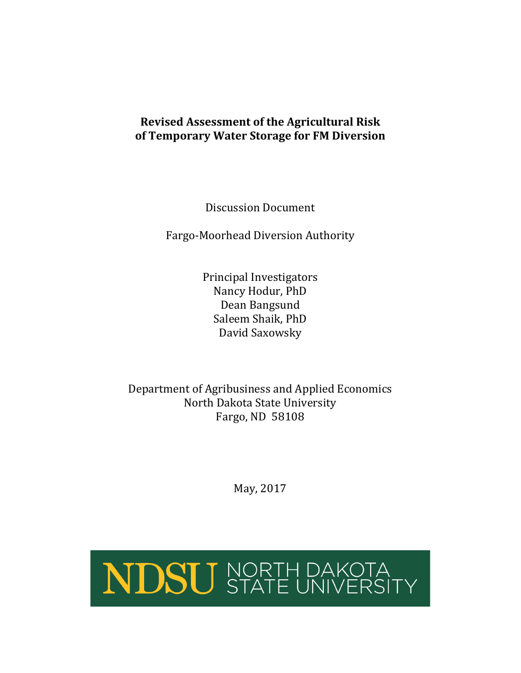# **Revised Assessment of the Agricultural Risk of Temporary Water Storage for FM Diversion**

Discussion Document

Fargo-Moorhead Diversion Authority

Principal Investigators Nancy Hodur, PhD Dean Bangsund Saleem Shaik, PhD David Saxowsky

Department of Agribusiness and Applied Economics North Dakota State University Fargo, ND 58108

May, 2017

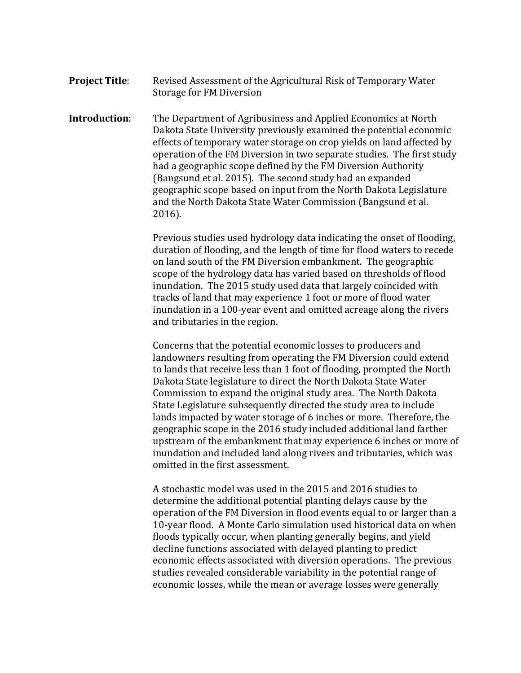**Project Title:** Revised Assessment of the Agricultural Risk of Temporary Water Storage for FM Diversion

**Introduction**: The Department of Agribusiness and Applied Economics at North Dakota State University previously examined the potential economic effects of temporary water storage on crop yields on land affected by operation of the FM Diversion in two separate studies. The first study had a geographic scope defined by the FM Diversion Authority (Bangsund et al. 2015). The second study had an expanded geographic scope based on input from the North Dakota Legislature and the North Dakota State Water Commission (Bangsund et al. 2016).

> Previous studies used hydrology data indicating the onset of flooding, duration of flooding, and the length of time for flood waters to recede on land south of the FM Diversion embankment. The geographic scope of the hydrology data has varied based on thresholds of flood inundation. The 2015 study used data that largely coincided with tracks of land that may experience 1 foot or more of flood water inundation in a 100-year event and omitted acreage along the rivers and tributaries in the region.

Concerns that the potential economic losses to producers and landowners resulting from operating the FM Diversion could extend to lands that receive less than 1 foot of flooding, prompted the North Dakota State legislature to direct the North Dakota State Water Commission to expand the original study area. The North Dakota State Legislature subsequently directed the study area to include lands impacted by water storage of 6 inches or more. Therefore, the geographic scope in the 2016 study included additional land farther upstream of the embankment that may experience 6 inches or more of inundation and included land along rivers and tributaries, which was omitted in the first assessment.

A stochastic model was used in the 2015 and 2016 studies to determine the additional potential planting delays cause by the operation of the FM Diversion in flood events equal to or larger than a 10-year flood. A Monte Carlo simulation used historical data on when floods typically occur, when planting generally begins, and yield decline functions associated with delayed planting to predict economic effects associated with diversion operations. The previous studies revealed considerable variability in the potential range of economic losses, while the mean or average losses were generally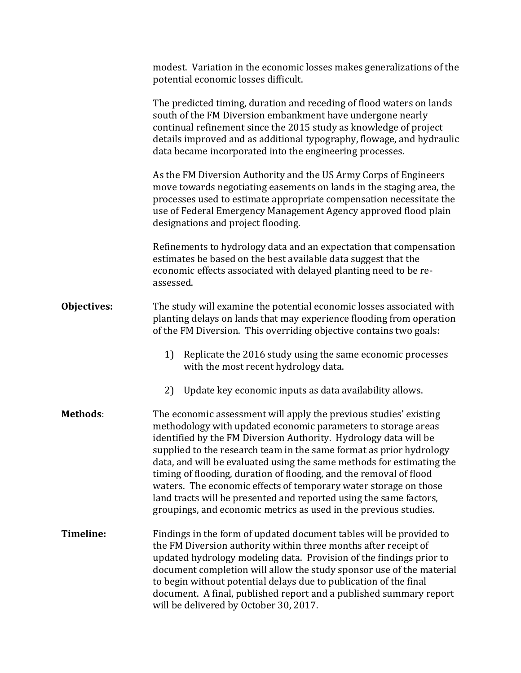|                 | modest. Variation in the economic losses makes generalizations of the<br>potential economic losses difficult.                                                                                                                                                                                                                                                                                                                                                                                                                                                                                                                              |  |  |  |  |
|-----------------|--------------------------------------------------------------------------------------------------------------------------------------------------------------------------------------------------------------------------------------------------------------------------------------------------------------------------------------------------------------------------------------------------------------------------------------------------------------------------------------------------------------------------------------------------------------------------------------------------------------------------------------------|--|--|--|--|
|                 | The predicted timing, duration and receding of flood waters on lands<br>south of the FM Diversion embankment have undergone nearly<br>continual refinement since the 2015 study as knowledge of project<br>details improved and as additional typography, flowage, and hydraulic<br>data became incorporated into the engineering processes.                                                                                                                                                                                                                                                                                               |  |  |  |  |
|                 | As the FM Diversion Authority and the US Army Corps of Engineers<br>move towards negotiating easements on lands in the staging area, the<br>processes used to estimate appropriate compensation necessitate the<br>use of Federal Emergency Management Agency approved flood plain<br>designations and project flooding.                                                                                                                                                                                                                                                                                                                   |  |  |  |  |
|                 | Refinements to hydrology data and an expectation that compensation<br>estimates be based on the best available data suggest that the<br>economic effects associated with delayed planting need to be re-<br>assessed.                                                                                                                                                                                                                                                                                                                                                                                                                      |  |  |  |  |
| Objectives:     | The study will examine the potential economic losses associated with<br>planting delays on lands that may experience flooding from operation<br>of the FM Diversion. This overriding objective contains two goals:                                                                                                                                                                                                                                                                                                                                                                                                                         |  |  |  |  |
|                 | Replicate the 2016 study using the same economic processes<br>1)<br>with the most recent hydrology data.                                                                                                                                                                                                                                                                                                                                                                                                                                                                                                                                   |  |  |  |  |
|                 | Update key economic inputs as data availability allows.<br>2)                                                                                                                                                                                                                                                                                                                                                                                                                                                                                                                                                                              |  |  |  |  |
| <b>Methods:</b> | The economic assessment will apply the previous studies' existing<br>methodology with updated economic parameters to storage areas<br>identified by the FM Diversion Authority. Hydrology data will be<br>supplied to the research team in the same format as prior hydrology<br>data, and will be evaluated using the same methods for estimating the<br>timing of flooding, duration of flooding, and the removal of flood<br>waters. The economic effects of temporary water storage on those<br>land tracts will be presented and reported using the same factors,<br>groupings, and economic metrics as used in the previous studies. |  |  |  |  |
| Timeline:       | Findings in the form of updated document tables will be provided to<br>the FM Diversion authority within three months after receipt of<br>updated hydrology modeling data. Provision of the findings prior to<br>document completion will allow the study sponsor use of the material<br>to begin without potential delays due to publication of the final<br>document. A final, published report and a published summary report<br>will be delivered by October 30, 2017.                                                                                                                                                                 |  |  |  |  |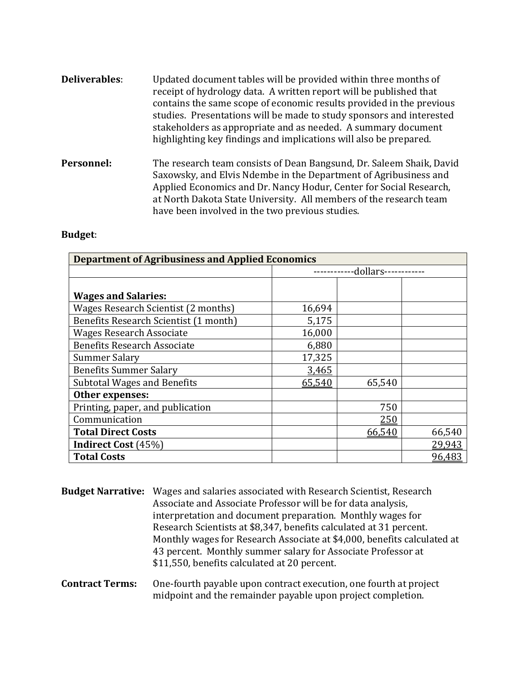- **Deliverables**: Updated document tables will be provided within three months of receipt of hydrology data. A written report will be published that contains the same scope of economic results provided in the previous studies. Presentations will be made to study sponsors and interested stakeholders as appropriate and as needed. A summary document highlighting key findings and implications will also be prepared.
- **Personnel:** The research team consists of Dean Bangsund, Dr. Saleem Shaik, David Saxowsky, and Elvis Ndembe in the Department of Agribusiness and Applied Economics and Dr. Nancy Hodur, Center for Social Research, at North Dakota State University. All members of the research team have been involved in the two previous studies.

## **Budget**:

| <b>Department of Agribusiness and Applied Economics</b> |          |        |        |  |  |
|---------------------------------------------------------|----------|--------|--------|--|--|
|                                                         | dollars- |        |        |  |  |
|                                                         |          |        |        |  |  |
| <b>Wages and Salaries:</b>                              |          |        |        |  |  |
| Wages Research Scientist (2 months)                     | 16,694   |        |        |  |  |
| Benefits Research Scientist (1 month)                   | 5,175    |        |        |  |  |
| <b>Wages Research Associate</b>                         | 16,000   |        |        |  |  |
| <b>Benefits Research Associate</b>                      | 6,880    |        |        |  |  |
| <b>Summer Salary</b>                                    | 17,325   |        |        |  |  |
| <b>Benefits Summer Salary</b>                           | 3,465    |        |        |  |  |
| <b>Subtotal Wages and Benefits</b>                      | 65,540   | 65,540 |        |  |  |
| Other expenses:                                         |          |        |        |  |  |
| Printing, paper, and publication                        |          | 750    |        |  |  |
| Communication                                           |          | 250    |        |  |  |
| <b>Total Direct Costs</b>                               |          | 66,540 | 66,540 |  |  |
| <b>Indirect Cost (45%)</b>                              |          |        | 29,943 |  |  |
| <b>Total Costs</b>                                      |          |        | 96,483 |  |  |

**Budget Narrative:** Wages and salaries associated with Research Scientist, Research Associate and Associate Professor will be for data analysis, interpretation and document preparation. Monthly wages for Research Scientists at \$8,347, benefits calculated at 31 percent. Monthly wages for Research Associate at \$4,000, benefits calculated at 43 percent. Monthly summer salary for Associate Professor at \$11,550, benefits calculated at 20 percent.

## **Contract Terms:** One-fourth payable upon contract execution, one fourth at project midpoint and the remainder payable upon project completion.